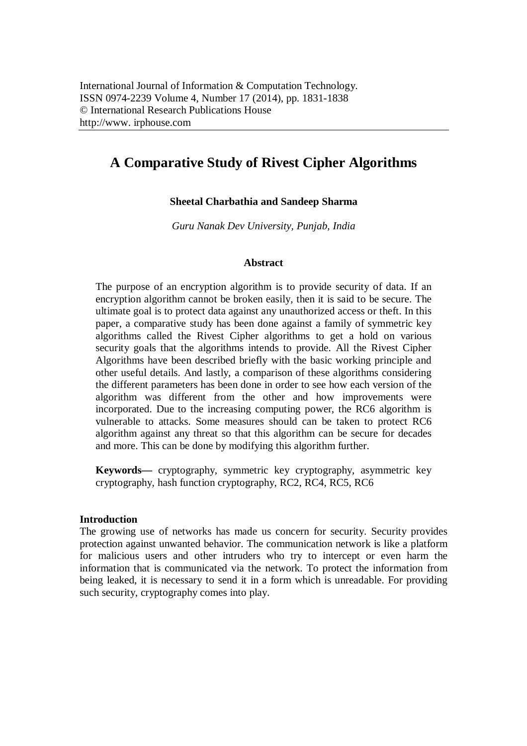# **A Comparative Study of Rivest Cipher Algorithms**

### **Sheetal Charbathia and Sandeep Sharma**

*Guru Nanak Dev University, Punjab, India*

#### **Abstract**

The purpose of an encryption algorithm is to provide security of data. If an encryption algorithm cannot be broken easily, then it is said to be secure. The ultimate goal is to protect data against any unauthorized access or theft. In this paper, a comparative study has been done against a family of symmetric key algorithms called the Rivest Cipher algorithms to get a hold on various security goals that the algorithms intends to provide. All the Rivest Cipher Algorithms have been described briefly with the basic working principle and other useful details. And lastly, a comparison of these algorithms considering the different parameters has been done in order to see how each version of the algorithm was different from the other and how improvements were incorporated. Due to the increasing computing power, the RC6 algorithm is vulnerable to attacks. Some measures should can be taken to protect RC6 algorithm against any threat so that this algorithm can be secure for decades and more. This can be done by modifying this algorithm further.

**Keywords—** cryptography, symmetric key cryptography, asymmetric key cryptography, hash function cryptography, RC2, RC4, RC5, RC6

#### **Introduction**

The growing use of networks has made us concern for security. Security provides protection against unwanted behavior. The communication network is like a platform for malicious users and other intruders who try to intercept or even harm the information that is communicated via the network. To protect the information from being leaked, it is necessary to send it in a form which is unreadable. For providing such security, cryptography comes into play.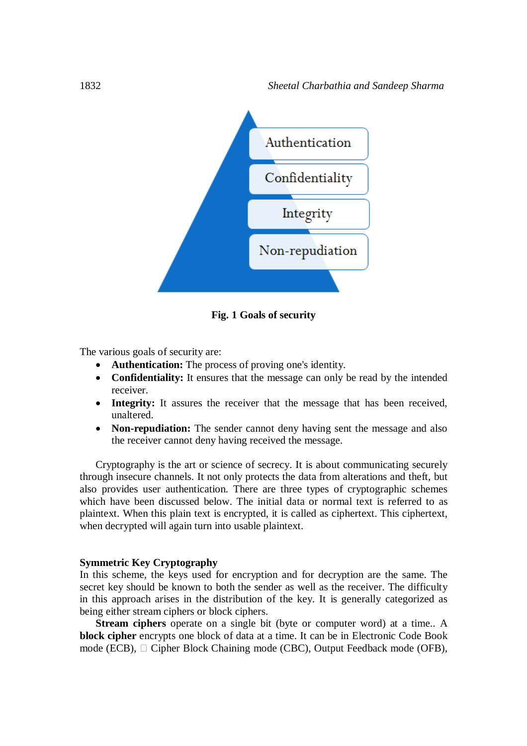

**Fig. 1 Goals of security**

The various goals of security are:

- **Authentication:** The process of proving one's identity.
- **Confidentiality:** It ensures that the message can only be read by the intended receiver.
- **Integrity:** It assures the receiver that the message that has been received, unaltered.
- **Non-repudiation:** The sender cannot deny having sent the message and also the receiver cannot deny having received the message.

Cryptography is the art or science of secrecy. It is about communicating securely through insecure channels. It not only protects the data from alterations and theft, but also provides user authentication. There are three types of cryptographic schemes which have been discussed below. The initial data or normal text is referred to as plaintext. When this plain text is encrypted, it is called as ciphertext. This ciphertext, when decrypted will again turn into usable plaintext.

#### **Symmetric Key Cryptography**

In this scheme, the keys used for encryption and for decryption are the same. The secret key should be known to both the sender as well as the receiver. The difficulty in this approach arises in the distribution of the key. It is generally categorized as being either stream ciphers or block ciphers.

**Stream ciphers** operate on a single bit (byte or computer word) at a time.. A **block cipher** encrypts one block of data at a time. It can be in Electronic Code Book mode (ECB), □ Cipher Block Chaining mode (CBC), Output Feedback mode (OFB),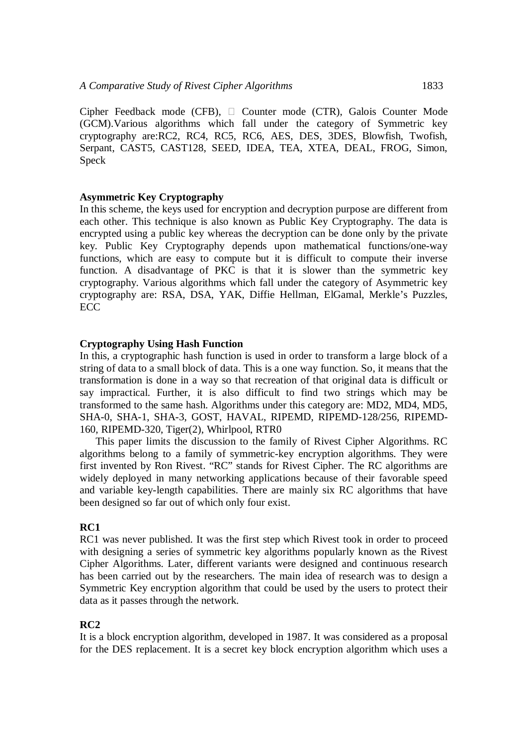Cipher Feedback mode (CFB),  $\Box$  Counter mode (CTR), Galois Counter Mode (GCM).Various algorithms which fall under the category of Symmetric key cryptography are:RC2, RC4, RC5, RC6, AES, DES, 3DES, Blowfish, Twofish, Serpant, CAST5, CAST128, SEED, IDEA, TEA, XTEA, DEAL, FROG, Simon, Speck

#### **Asymmetric Key Cryptography**

In this scheme, the keys used for encryption and decryption purpose are different from each other. This technique is also known as Public Key Cryptography. The data is encrypted using a public key whereas the decryption can be done only by the private key. Public Key Cryptography depends upon mathematical functions/one-way functions, which are easy to compute but it is difficult to compute their inverse function. A disadvantage of PKC is that it is slower than the symmetric key cryptography. Various algorithms which fall under the category of Asymmetric key cryptography are: RSA, DSA, YAK, Diffie Hellman, ElGamal, Merkle's Puzzles, **ECC** 

### **Cryptography Using Hash Function**

In this, a cryptographic hash function is used in order to transform a large block of a string of data to a small block of data. This is a one way function. So, it means that the transformation is done in a way so that recreation of that original data is difficult or say impractical. Further, it is also difficult to find two strings which may be transformed to the same hash. Algorithms under this category are: MD2, MD4, MD5, SHA-0, SHA-1, SHA-3, GOST, HAVAL, RIPEMD, RIPEMD-128/256, RIPEMD-160, RIPEMD-320, Tiger(2), Whirlpool, RTR0

This paper limits the discussion to the family of Rivest Cipher Algorithms. RC algorithms belong to a family of symmetric-key encryption algorithms. They were first invented by Ron Rivest. "RC" stands for Rivest Cipher. The RC algorithms are widely deployed in many networking applications because of their favorable speed and variable key-length capabilities. There are mainly six RC algorithms that have been designed so far out of which only four exist.

#### **RC1**

RC1 was never published. It was the first step which Rivest took in order to proceed with designing a series of symmetric key algorithms popularly known as the Rivest Cipher Algorithms. Later, different variants were designed and continuous research has been carried out by the researchers. The main idea of research was to design a Symmetric Key encryption algorithm that could be used by the users to protect their data as it passes through the network.

#### **RC2**

It is a block encryption algorithm, developed in 1987. It was considered as a proposal for the DES replacement. It is a secret key block encryption algorithm which uses a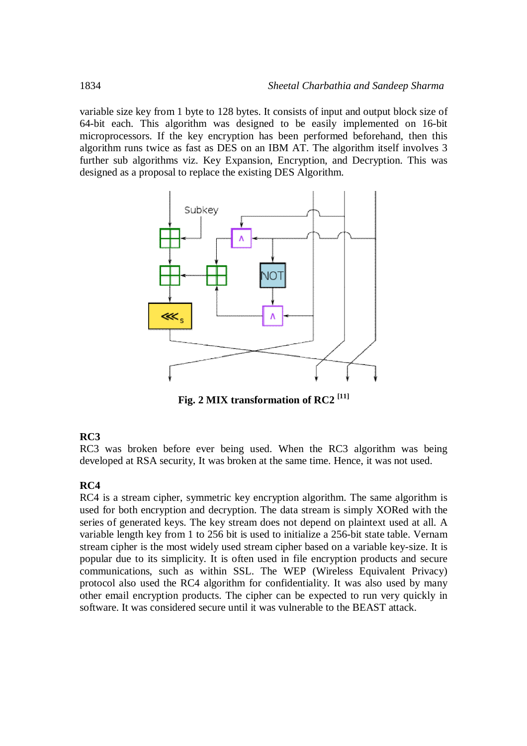variable size key from 1 byte to 128 bytes. It consists of input and output block size of 64-bit each. This algorithm was designed to be easily implemented on 16-bit microprocessors. If the key encryption has been performed beforehand, then this algorithm runs twice as fast as DES on an IBM AT. The algorithm itself involves 3 further sub algorithms viz. Key Expansion, Encryption, and Decryption. This was designed as a proposal to replace the existing DES Algorithm.



**Fig. 2 MIX transformation of RC2 [11]**

### **RC3**

RC3 was broken before ever being used. When the RC3 algorithm was being developed at RSA security, It was broken at the same time. Hence, it was not used.

# **RC4**

RC4 is a stream cipher, symmetric key encryption algorithm. The same algorithm is used for both encryption and decryption. The data stream is simply XORed with the series of generated keys. The key stream does not depend on plaintext used at all. A variable length key from 1 to 256 bit is used to initialize a 256-bit state table. Vernam stream cipher is the most widely used stream cipher based on a variable key-size. It is popular due to its simplicity. It is often used in file encryption products and secure communications, such as within SSL. The WEP (Wireless Equivalent Privacy) protocol also used the RC4 algorithm for confidentiality. It was also used by many other email encryption products. The cipher can be expected to run very quickly in software. It was considered secure until it was vulnerable to the BEAST attack.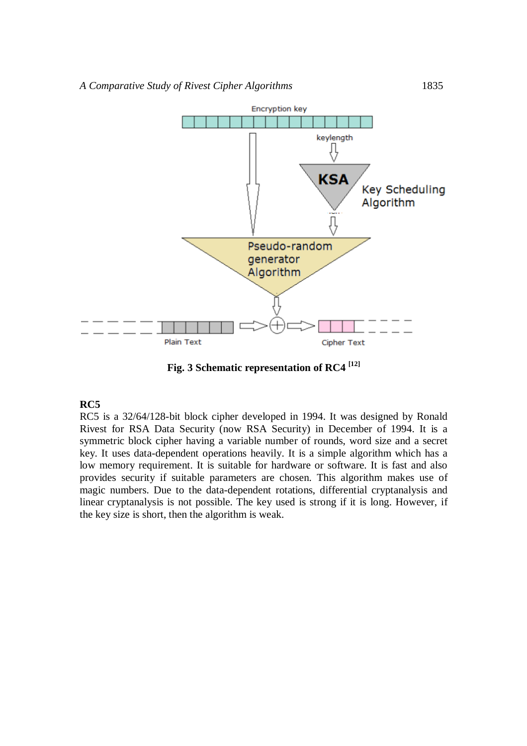

**Fig. 3 Schematic representation of RC4 [12]**

### **RC5**

RC5 is a 32/64/128-bit block cipher developed in 1994. It was designed by Ronald Rivest for RSA Data Security (now RSA Security) in December of 1994. It is a symmetric block cipher having a variable number of rounds, word size and a secret key. It uses data-dependent operations heavily. It is a simple algorithm which has a low memory requirement. It is suitable for hardware or software. It is fast and also provides security if suitable parameters are chosen. This algorithm makes use of magic numbers. Due to the data-dependent rotations, differential cryptanalysis and linear cryptanalysis is not possible. The key used is strong if it is long. However, if the key size is short, then the algorithm is weak.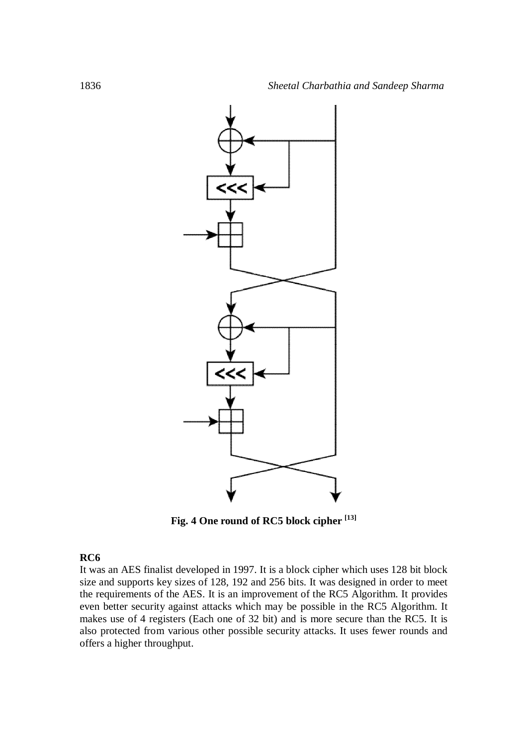

**Fig. 4 One round of RC5 block cipher [13]**

## **RC6**

It was an AES finalist developed in 1997. It is a block cipher which uses 128 bit block size and supports key sizes of 128, 192 and 256 bits. It was designed in order to meet the requirements of the AES. It is an improvement of the RC5 Algorithm. It provides even better security against attacks which may be possible in the RC5 Algorithm. It makes use of 4 registers (Each one of 32 bit) and is more secure than the RC5. It is also protected from various other possible security attacks. It uses fewer rounds and offers a higher throughput.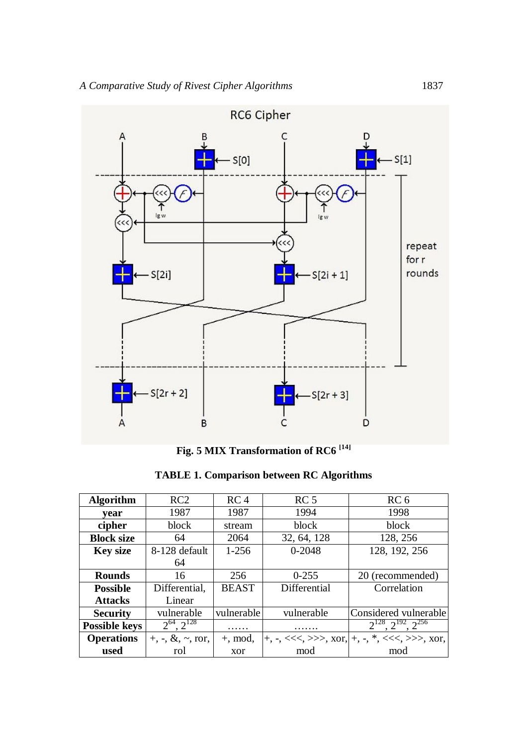

**Fig. 5 MIX Transformation of RC6 [14]**

|  | <b>TABLE 1. Comparison between RC Algorithms</b> |  |  |
|--|--------------------------------------------------|--|--|
|--|--------------------------------------------------|--|--|

| <b>Algorithm</b>     | RC2                                                  | RC <sub>4</sub> | RC <sub>5</sub> | RC <sub>6</sub>                                                              |
|----------------------|------------------------------------------------------|-----------------|-----------------|------------------------------------------------------------------------------|
| vear                 | 1987                                                 | 1987            | 1994            | 1998                                                                         |
| cipher               | block                                                | stream          | block           | block                                                                        |
| <b>Block size</b>    | 64                                                   | 2064            | 32, 64, 128     | 128, 256                                                                     |
| <b>Key size</b>      | 8-128 default                                        | $1-256$         | $0 - 2048$      | 128, 192, 256                                                                |
|                      | 64                                                   |                 |                 |                                                                              |
| <b>Rounds</b>        | 16                                                   | 256             | $0 - 255$       | 20 (recommended)                                                             |
| <b>Possible</b>      | Differential,                                        | <b>BEAST</b>    | Differential    | Correlation                                                                  |
| <b>Attacks</b>       | Linear                                               |                 |                 |                                                                              |
| <b>Security</b>      | vulnerable                                           | vulnerable      | vulnerable      | Considered vulnerable                                                        |
| <b>Possible keys</b> | $2^{64}$ , $2^{128}$                                 | .               | .               | $2^{128}, 2^{192}, 2^{256}$                                                  |
| <b>Operations</b>    | $+, \, \text{-}, \, \&, \, \text{-}, \, \text{ror},$ | $+$ , mod,      |                 | $ +, -, \ll\ll, \gg\gtr, \text{Xor},  +, -, *, \ll\ll, \gg\gtr, \text{Xor},$ |
| used                 | rol                                                  | xor             | mod             | mod                                                                          |